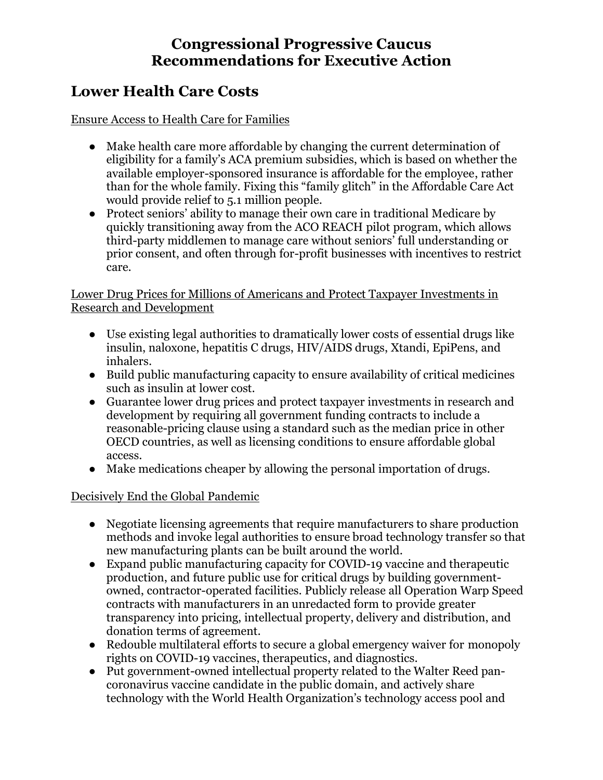### **Congressional Progressive Caucus Recommendations for Executive Action**

## **Lower Health Care Costs**

Ensure Access to Health Care for Families

- Make health care more affordable by changing the current determination of eligibility for a family's ACA premium subsidies, which is based on whether the available employer-sponsored insurance is affordable for the employee, rather than for the whole family. Fixing this "family glitch" in the Affordable Care Act would provide relief to 5.1 million people.
- Protect seniors' ability to manage their own care in traditional Medicare by quickly transitioning away from the ACO REACH pilot program, which allows third-party middlemen to manage care without seniors' full understanding or prior consent, and often through for-profit businesses with incentives to restrict care.

#### Lower Drug Prices for Millions of Americans and Protect Taxpayer Investments in Research and Development

- Use existing legal authorities to dramatically lower costs of essential drugs like insulin, naloxone, hepatitis C drugs, HIV/AIDS drugs, Xtandi, EpiPens, and inhalers.
- Build public manufacturing capacity to ensure availability of critical medicines such as insulin at lower cost.
- Guarantee lower drug prices and protect taxpayer investments in research and development by requiring all government funding contracts to include a reasonable-pricing clause using a standard such as the median price in other OECD countries, as well as licensing conditions to ensure affordable global access.
- Make medications cheaper by allowing the personal importation of drugs.

#### Decisively End the Global Pandemic

- Negotiate licensing agreements that require manufacturers to share production methods and invoke legal authorities to ensure broad technology transfer so that new manufacturing plants can be built around the world.
- Expand public manufacturing capacity for COVID-19 vaccine and therapeutic production, and future public use for critical drugs by building governmentowned, contractor-operated facilities. Publicly release all Operation Warp Speed contracts with manufacturers in an unredacted form to provide greater transparency into pricing, intellectual property, delivery and distribution, and donation terms of agreement.
- Redouble multilateral efforts to secure a global emergency waiver for monopoly rights on COVID-19 vaccines, therapeutics, and diagnostics.
- Put government-owned intellectual property related to the Walter Reed pancoronavirus vaccine candidate in the public domain, and actively share technology with the World Health Organization's technology access pool and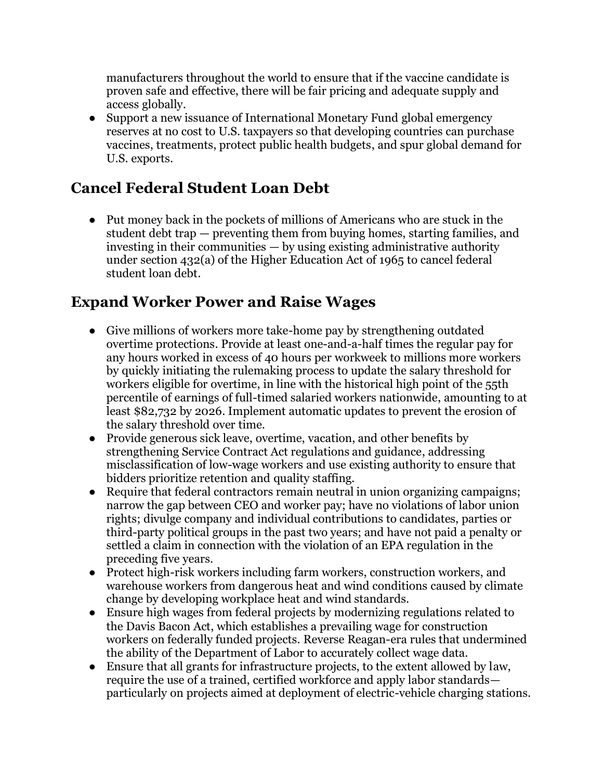manufacturers throughout the world to ensure that if the vaccine candidate is proven safe and effective, there will be fair pricing and adequate supply and access globally.

• Support a new issuance of International Monetary Fund global emergency reserves at no cost to U.S. taxpayers so that developing countries can purchase vaccines, treatments, protect public health budgets, and spur global demand for U.S. exports.

# **Cancel Federal Student Loan Debt**

● Put money back in the pockets of millions of Americans who are stuck in the student debt trap — preventing them from buying homes, starting families, and investing in their communities — by using existing administrative authority under section 432(a) of the Higher Education Act of 1965 to cancel federal student loan debt.

# **Expand Worker Power and Raise Wages**

- Give millions of workers more take-home pay by strengthening outdated overtime protections. Provide at least one-and-a-half times the regular pay for any hours worked in excess of 40 hours per workweek to millions more workers by quickly initiating the rulemaking process to update the salary threshold for w0rkers eligible for overtime, in line with the historical high point of the 55th percentile of earnings of full-timed salaried workers nationwide, amounting to at least \$82,732 by 2026. Implement automatic updates to prevent the erosion of the salary threshold over time.
- Provide generous sick leave, overtime, vacation, and other benefits by strengthening Service Contract Act regulations and guidance, addressing misclassification of low-wage workers and use existing authority to ensure that bidders prioritize retention and quality staffing.
- Require that federal contractors remain neutral in union organizing campaigns; narrow the gap between CEO and worker pay; have no violations of labor union rights; divulge company and individual contributions to candidates, parties or third-party political groups in the past two years; and have not paid a penalty or settled a claim in connection with the violation of an EPA regulation in the preceding five years.
- Protect high-risk workers including farm workers, construction workers, and warehouse workers from dangerous heat and wind conditions caused by climate change by developing workplace heat and wind standards.
- Ensure high wages from federal projects by modernizing regulations related to the Davis Bacon Act, which establishes a prevailing wage for construction workers on federally funded projects. Reverse Reagan-era rules that undermined the ability of the Department of Labor to accurately collect wage data.
- Ensure that all grants for infrastructure projects, to the extent allowed by law, require the use of a trained, certified workforce and apply labor standards particularly on projects aimed at deployment of electric-vehicle charging stations.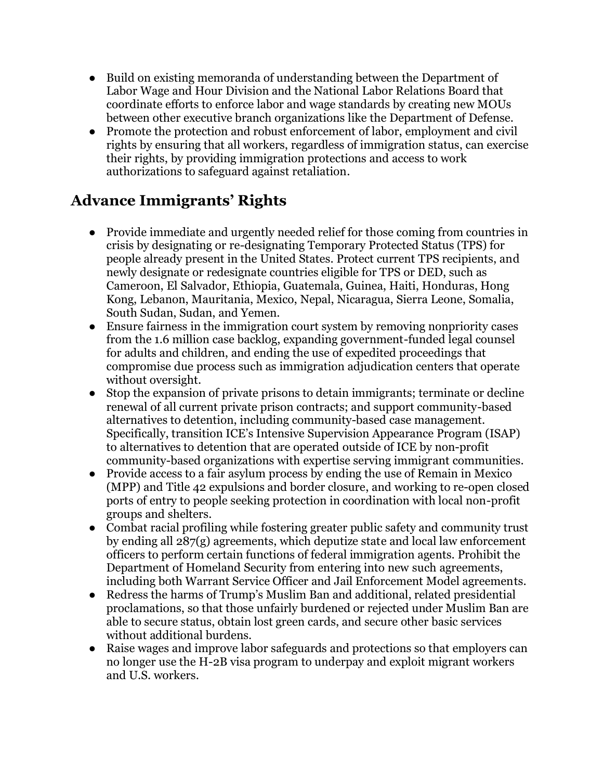- Build on existing memoranda of understanding between the Department of Labor Wage and Hour Division and the National Labor Relations Board that coordinate efforts to enforce labor and wage standards by creating new MOUs between other executive branch organizations like the Department of Defense.
- Promote the protection and robust enforcement of labor, employment and civil rights by ensuring that all workers, regardless of immigration status, can exercise their rights, by providing immigration protections and access to work authorizations to safeguard against retaliation.

# **Advance Immigrants' Rights**

- Provide immediate and urgently needed relief for those coming from countries in crisis by designating or re-designating Temporary Protected Status (TPS) for people already present in the United States. Protect current TPS recipients, and newly designate or redesignate countries eligible for TPS or DED, such as Cameroon, El Salvador, Ethiopia, Guatemala, Guinea, Haiti, Honduras, Hong Kong, Lebanon, Mauritania, Mexico, Nepal, Nicaragua, Sierra Leone, Somalia, South Sudan, Sudan, and Yemen.
- Ensure fairness in the immigration court system by removing nonpriority cases from the 1.6 million case backlog, expanding government-funded legal counsel for adults and children, and ending the use of expedited proceedings that compromise due process such as immigration adjudication centers that operate without oversight.
- Stop the expansion of private prisons to detain immigrants; terminate or decline renewal of all current private prison contracts; and support community-based alternatives to detention, including community-based case management. Specifically, transition ICE's Intensive Supervision Appearance Program (ISAP) to alternatives to detention that are operated outside of ICE by non-profit community-based organizations with expertise serving immigrant communities.
- Provide access to a fair asylum process by ending the use of Remain in Mexico (MPP) and Title 42 expulsions and border closure, and working to re-open closed ports of entry to people seeking protection in coordination with local non-profit groups and shelters.
- Combat racial profiling while fostering greater public safety and community trust by ending all 287(g) agreements, which deputize state and local law enforcement officers to perform certain functions of federal immigration agents. Prohibit the Department of Homeland Security from entering into new such agreements, including both Warrant Service Officer and Jail Enforcement Model agreements.
- Redress the harms of Trump's Muslim Ban and additional, related presidential proclamations, so that those unfairly burdened or rejected under Muslim Ban are able to secure status, obtain lost green cards, and secure other basic services without additional burdens.
- Raise wages and improve labor safeguards and protections so that employers can no longer use the H-2B visa program to underpay and exploit migrant workers and U.S. workers.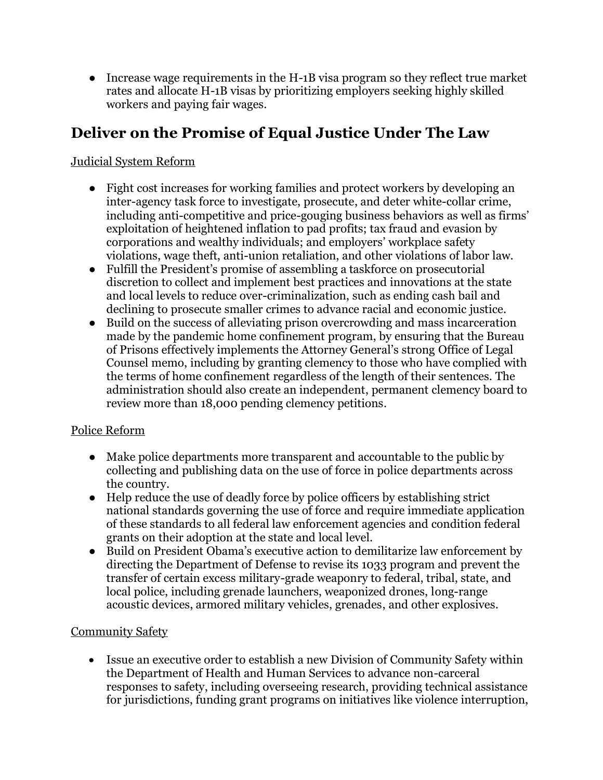● Increase wage requirements in the H-1B visa program so they reflect true market rates and allocate H-1B visas by prioritizing employers seeking highly skilled workers and paying fair wages.

## **Deliver on the Promise of Equal Justice Under The Law**

Judicial System Reform

- Fight cost increases for working families and protect workers by developing an inter-agency task force to investigate, prosecute, and deter white-collar crime, including anti-competitive and price-gouging business behaviors as well as firms' exploitation of heightened inflation to pad profits; tax fraud and evasion by corporations and wealthy individuals; and employers' workplace safety violations, wage theft, anti-union retaliation, and other violations of labor law.
- Fulfill the President's promise of assembling a taskforce on prosecutorial discretion to collect and implement best practices and innovations at the state and local levels to reduce over-criminalization, such as ending cash bail and declining to prosecute smaller crimes to advance racial and economic justice.
- Build on the success of alleviating prison overcrowding and mass incarceration made by the pandemic home confinement program, by ensuring that the Bureau of Prisons effectively implements the Attorney General's strong Office of Legal Counsel memo, including by granting clemency to those who have complied with the terms of home confinement regardless of the length of their sentences. The administration should also create an independent, permanent clemency board to review more than 18,000 pending clemency petitions.

#### Police Reform

- Make police departments more transparent and accountable to the public by collecting and publishing data on the use of force in police departments across the country.
- Help reduce the use of deadly force by police officers by establishing strict national standards governing the use of force and require immediate application of these standards to all federal law enforcement agencies and condition federal grants on their adoption at the state and local level.
- Build on President Obama's executive action to demilitarize law enforcement by directing the Department of Defense to revise its 1033 program and prevent the transfer of certain excess military-grade weaponry to federal, tribal, state, and local police, including grenade launchers, weaponized drones, long-range acoustic devices, armored military vehicles, grenades, and other explosives.

#### Community Safety

• Issue an executive order to establish a new Division of Community Safety within the Department of Health and Human Services to advance non-carceral responses to safety, including overseeing research, providing technical assistance for jurisdictions, funding grant programs on initiatives like violence interruption,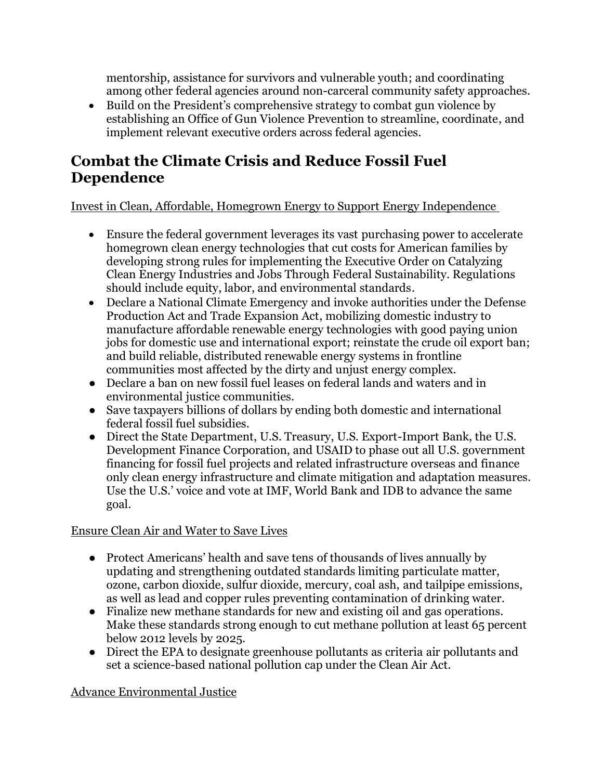mentorship, assistance for survivors and vulnerable youth; and coordinating among other federal agencies around non-carceral community safety approaches.

• Build on the President's comprehensive strategy to combat gun violence by establishing an Office of Gun Violence Prevention to streamline, coordinate, and implement relevant executive orders across federal agencies.

## **Combat the Climate Crisis and Reduce Fossil Fuel Dependence**

Invest in Clean, Affordable, Homegrown Energy to Support Energy Independence

- Ensure the federal government leverages its vast purchasing power to accelerate homegrown clean energy technologies that cut costs for American families by developing strong rules for implementing the Executive Order on Catalyzing Clean Energy Industries and Jobs Through Federal Sustainability. Regulations should include equity, labor, and environmental standards.
- Declare a National Climate Emergency and invoke authorities under the Defense Production Act and Trade Expansion Act, mobilizing domestic industry to manufacture affordable renewable energy technologies with good paying union jobs for domestic use and international export; reinstate the crude oil export ban; and build reliable, distributed renewable energy systems in frontline communities most affected by the dirty and unjust energy complex.
- Declare a ban on new fossil fuel leases on federal lands and waters and in environmental justice communities.
- Save taxpayers billions of dollars by ending both domestic and international federal fossil fuel subsidies.
- Direct the State Department, U.S. Treasury, U.S. Export-Import Bank, the U.S. Development Finance Corporation, and USAID to phase out all U.S. government financing for fossil fuel projects and related infrastructure overseas and finance only clean energy infrastructure and climate mitigation and adaptation measures. Use the U.S.' voice and vote at IMF, World Bank and IDB to advance the same goal.

#### Ensure Clean Air and Water to Save Lives

- Protect Americans' health and save tens of thousands of lives annually by updating and strengthening outdated standards limiting particulate matter, ozone, carbon dioxide, sulfur dioxide, mercury, coal ash, and tailpipe emissions, as well as lead and copper rules preventing contamination of drinking water.
- Finalize new methane standards for new and existing oil and gas operations. Make these standards strong enough to cut methane pollution at least 65 percent below 2012 levels by 2025.
- Direct the EPA to designate greenhouse pollutants as criteria air pollutants and set a science-based national pollution cap under the Clean Air Act.

#### Advance Environmental Justice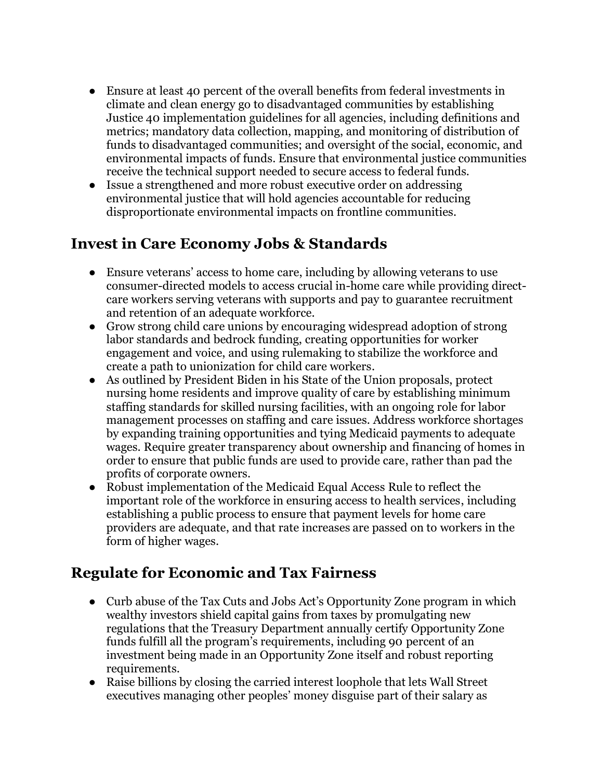- Ensure at least 40 percent of the overall benefits from federal investments in climate and clean energy go to disadvantaged communities by establishing Justice 40 implementation guidelines for all agencies, including definitions and metrics; mandatory data collection, mapping, and monitoring of distribution of funds to disadvantaged communities; and oversight of the social, economic, and environmental impacts of funds. Ensure that environmental justice communities receive the technical support needed to secure access to federal funds.
- Issue a strengthened and more robust executive order on addressing environmental justice that will hold agencies accountable for reducing disproportionate environmental impacts on frontline communities.

## **Invest in Care Economy Jobs & Standards**

- Ensure veterans' access to home care, including by allowing veterans to use consumer-directed models to access crucial in-home care while providing directcare workers serving veterans with supports and pay to guarantee recruitment and retention of an adequate workforce.
- Grow strong child care unions by encouraging widespread adoption of strong labor standards and bedrock funding, creating opportunities for worker engagement and voice, and using rulemaking to stabilize the workforce and create a path to unionization for child care workers.
- As outlined by President Biden in his State of the Union proposals, protect nursing home residents and improve quality of care by establishing minimum staffing standards for skilled nursing facilities, with an ongoing role for labor management processes on staffing and care issues. Address workforce shortages by expanding training opportunities and tying Medicaid payments to adequate wages. Require greater transparency about ownership and financing of homes in order to ensure that public funds are used to provide care, rather than pad the profits of corporate owners.
- Robust implementation of the Medicaid Equal Access Rule to reflect the important role of the workforce in ensuring access to health services, including establishing a public process to ensure that payment levels for home care providers are adequate, and that rate increases are passed on to workers in the form of higher wages.

# **Regulate for Economic and Tax Fairness**

- Curb abuse of the Tax Cuts and Jobs Act's Opportunity Zone program in which wealthy investors shield capital gains from taxes by promulgating new regulations that the Treasury Department annually certify Opportunity Zone funds fulfill all the program's requirements, including 90 percent of an investment being made in an Opportunity Zone itself and robust reporting requirements.
- Raise billions by closing the carried interest loophole that lets Wall Street executives managing other peoples' money disguise part of their salary as